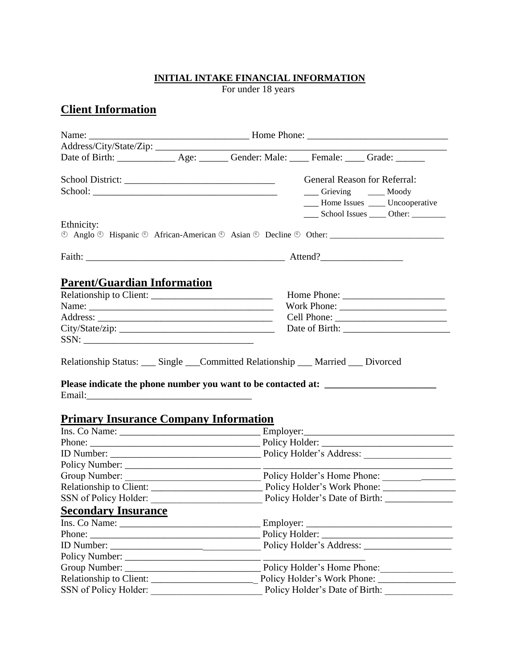#### **INITIAL INTAKE FINANCIAL INFORMATION**

For under 18 years

# **Client Information**